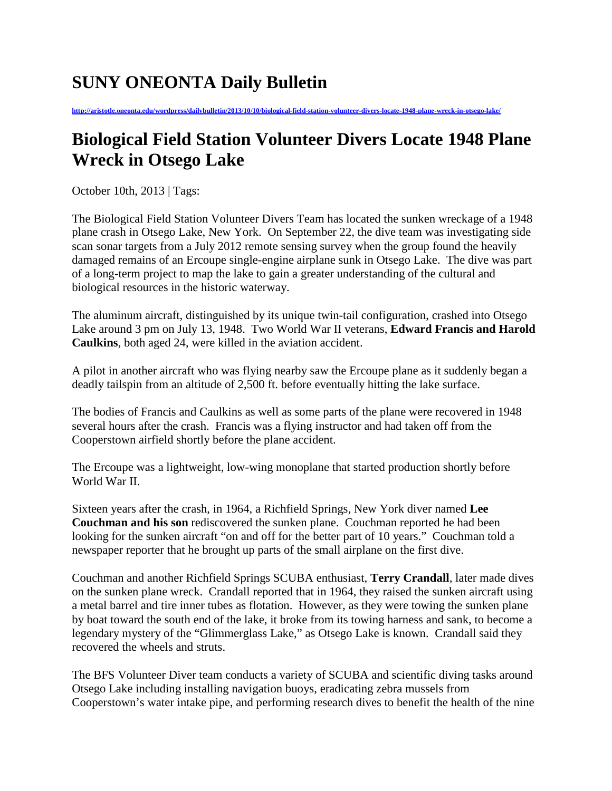## **SUNY ONEONTA Daily Bulletin**

**<http://aristotle.oneonta.edu/wordpress/dailybulletin/2013/10/10/biological-field-station-volunteer-divers-locate-1948-plane-wreck-in-otsego-lake/>**

## **Biological Field Station Volunteer Divers Locate 1948 Plane Wreck in Otsego Lake**

October 10th, 2013 | Tags:

The Biological Field Station Volunteer Divers Team has located the sunken wreckage of a 1948 plane crash in Otsego Lake, New York. On September 22, the dive team was investigating side scan sonar targets from a July 2012 remote sensing survey when the group found the heavily damaged remains of an Ercoupe single-engine airplane sunk in Otsego Lake. The dive was part of a long-term project to map the lake to gain a greater understanding of the cultural and biological resources in the historic waterway.

The aluminum aircraft, distinguished by its unique twin-tail configuration, crashed into Otsego Lake around 3 pm on July 13, 1948. Two World War II veterans, **Edward Francis and Harold Caulkins**, both aged 24, were killed in the aviation accident.

A pilot in another aircraft who was flying nearby saw the Ercoupe plane as it suddenly began a deadly tailspin from an altitude of 2,500 ft. before eventually hitting the lake surface.

The bodies of Francis and Caulkins as well as some parts of the plane were recovered in 1948 several hours after the crash. Francis was a flying instructor and had taken off from the Cooperstown airfield shortly before the plane accident.

The Ercoupe was a lightweight, low-wing monoplane that started production shortly before World War II.

Sixteen years after the crash, in 1964, a Richfield Springs, New York diver named **Lee Couchman and his son** rediscovered the sunken plane. Couchman reported he had been looking for the sunken aircraft "on and off for the better part of 10 years." Couchman told a newspaper reporter that he brought up parts of the small airplane on the first dive.

Couchman and another Richfield Springs SCUBA enthusiast, **Terry Crandall**, later made dives on the sunken plane wreck. Crandall reported that in 1964, they raised the sunken aircraft using a metal barrel and tire inner tubes as flotation. However, as they were towing the sunken plane by boat toward the south end of the lake, it broke from its towing harness and sank, to become a legendary mystery of the "Glimmerglass Lake," as Otsego Lake is known. Crandall said they recovered the wheels and struts.

The BFS Volunteer Diver team conducts a variety of SCUBA and scientific diving tasks around Otsego Lake including installing navigation buoys, eradicating zebra mussels from Cooperstown's water intake pipe, and performing research dives to benefit the health of the nine